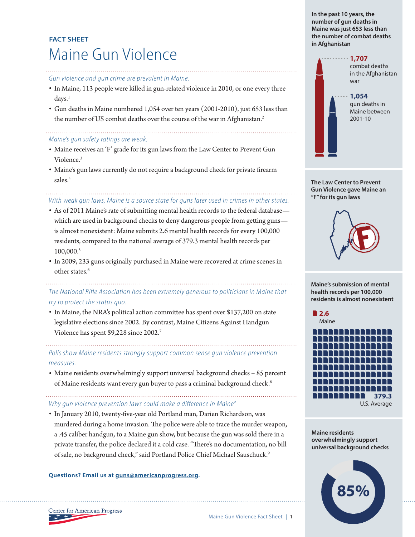# **FACT SHEET** Maine Gun Violence

#### *Gun violence and gun crime are prevalent in Maine.*

- • In Maine, 113 people were killed in gun-related violence in 2010, or one every three days.<sup>1</sup>
- • Gun deaths in Maine numbered 1,054 over ten years (2001-2010), just 653 less than the number of US combat deaths over the course of the war in Afghanistan.<sup>2</sup>

### *Maine's gun safety ratings are weak.*

- Maine receives an 'F' grade for its gun laws from the Law Center to Prevent Gun Violence.3
- • Maine's gun laws currently do not require a background check for private firearm sales.<sup>4</sup>

# *With weak gun laws, Maine is a source state for guns later used in crimes in other states.*

- As of 2011 Maine's rate of submitting mental health records to the federal database which are used in background checks to deny dangerous people from getting guns is almost nonexistent: Maine submits 2.6 mental health records for every 100,000 residents, compared to the national average of 379.3 mental health records per 100,000.5
- • In 2009, 233 guns originally purchased in Maine were recovered at crime scenes in other states.<sup>6</sup>

## *The National Rifle Association has been extremely generous to politicians in Maine that try to protect the status quo.*

• In Maine, the NRA's political action committee has spent over \$137,200 on state legislative elections since 2002. By contrast, Maine Citizens Against Handgun Violence has spent \$9,228 since 2002.7

*Polls show Maine residents strongly support common sense gun violence prevention measures.* 

• Maine residents overwhelmingly support universal background checks - 85 percent of Maine residents want every gun buyer to pass a criminal background check.<sup>8</sup>

### *Why gun violence prevention laws could make a difference in Maine"*

• In January 2010, twenty-five-year old Portland man, Darien Richardson, was murdered during a home invasion. The police were able to trace the murder weapon, a .45 caliber handgun, to a Maine gun show, but because the gun was sold there in a private transfer, the police declared it a cold case. "There's no documentation, no bill of sale, no background check," said Portland Police Chief Michael Sauschuck.9

#### **Questions? Email us at guns@americanprogress.org.**

**In the past 10 years, the number of gun deaths in Maine was just 653 less than the number of combat deaths in Afghanistan**



**The Law Center to Prevent Gun Violence gave Maine an "F" for its gun laws**



**Maine's submission of mental health records per 100,000 residents is almost nonexistent**



**Maine residents overwhelmingly support universal background checks**



Center for American Progress